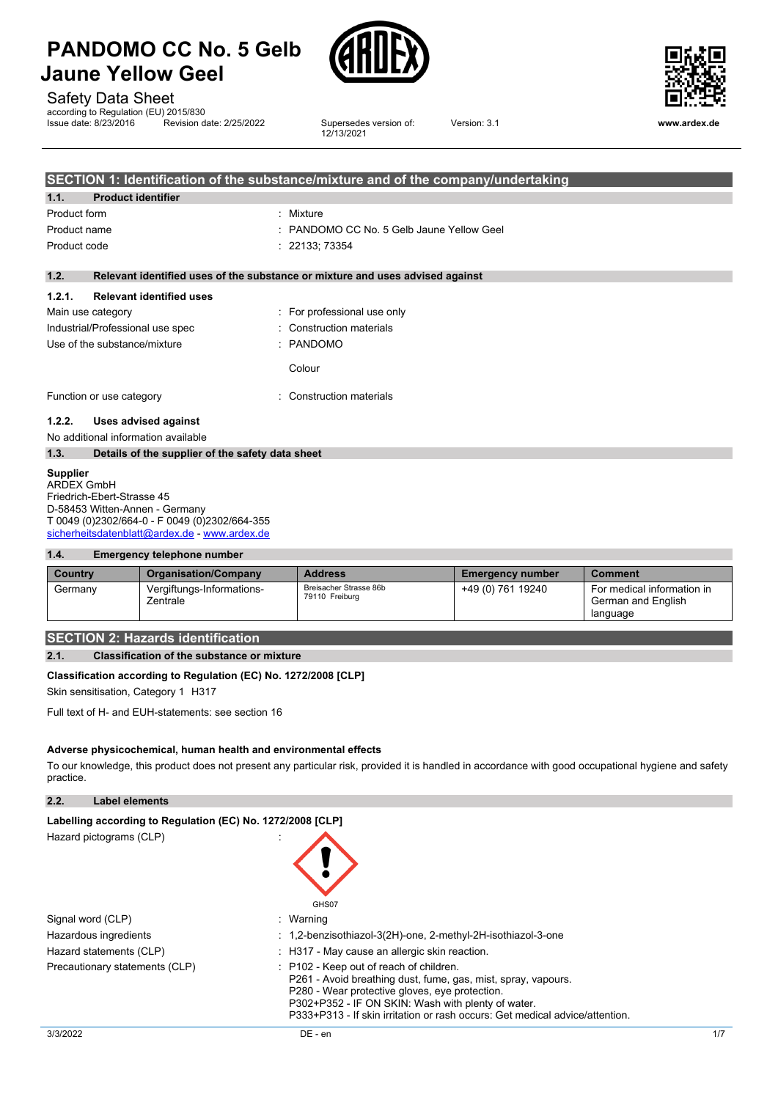





### Safety Data Sheet

according to Regulation (EU) 2015/830<br>Issue date: 8/23/2016 Revision date: 2/25/2022

Supersedes version of: 12/13/2021

Version: 3.1 **www.ardex.de**

|                              |                                     | SECTION 1: Identification of the substance/mixture and of the company/undertaking |
|------------------------------|-------------------------------------|-----------------------------------------------------------------------------------|
| 1.1.                         | <b>Product identifier</b>           |                                                                                   |
| Product form                 |                                     | : Mixture                                                                         |
| Product name                 |                                     | : PANDOMO CC No. 5 Gelb Jaune Yellow Geel                                         |
| Product code                 |                                     | : 22133; 73354                                                                    |
|                              |                                     |                                                                                   |
| 1.2.                         |                                     | Relevant identified uses of the substance or mixture and uses advised against     |
| 1.2.1.                       | <b>Relevant identified uses</b>     |                                                                                   |
|                              | Main use category                   | : For professional use only                                                       |
|                              | Industrial/Professional use spec    | : Construction materials                                                          |
| Use of the substance/mixture |                                     | : PANDOMO                                                                         |
|                              |                                     | Colour                                                                            |
|                              | Function or use category            | : Construction materials                                                          |
| 1.2.2.                       | Uses advised against                |                                                                                   |
|                              | No additional information available |                                                                                   |

## **1.3. Details of the supplier of the safety data sheet**

#### **Supplier**

ARDEX GmbH Friedrich-Ebert-Strasse 45 D-58453 Witten-Annen - Germany T 0049 (0)2302/664-0 - F 0049 (0)2302/664-355 [sicherheitsdatenblatt@ardex.de](mailto:sicherheitsdatenblatt@ardex.de) - [www.ardex.de](http://www.ardex.de/)

#### **1.4. Emergency telephone number**

| Country | <b>Organisation/Company</b>           | <b>Address</b>                           | <b>Emergency number</b> | <b>Comment</b>                                               |
|---------|---------------------------------------|------------------------------------------|-------------------------|--------------------------------------------------------------|
| Germany | Vergiftungs-Informations-<br>Zentrale | Breisacher Strasse 86b<br>79110 Freiburg | +49 (0) 761 19240       | For medical information in<br>German and English<br>language |

### **SECTION 2: Hazards identification**

#### **2.1. Classification of the substance or mixture**

#### **Classification according to Regulation (EC) No. 1272/2008 [CLP]**

Skin sensitisation, Category 1 H317

Full text of H- and EUH-statements: see section 16

#### **Adverse physicochemical, human health and environmental effects**

To our knowledge, this product does not present any particular risk, provided it is handled in accordance with good occupational hygiene and safety practice.

**2.2. Label elements**

| Labelling according to Regulation (EC) No. 1272/2008 [CLP] |                                                                                                                                                                                                                                                                                                  |
|------------------------------------------------------------|--------------------------------------------------------------------------------------------------------------------------------------------------------------------------------------------------------------------------------------------------------------------------------------------------|
| Hazard pictograms (CLP)                                    | GHS07                                                                                                                                                                                                                                                                                            |
| Signal word (CLP)                                          | : Warning                                                                                                                                                                                                                                                                                        |
| Hazardous ingredients                                      | : 1,2-benzisothiazol-3(2H)-one, 2-methyl-2H-isothiazol-3-one                                                                                                                                                                                                                                     |
| Hazard statements (CLP)                                    | : H317 - May cause an allergic skin reaction.                                                                                                                                                                                                                                                    |
| Precautionary statements (CLP)                             | : P102 - Keep out of reach of children.<br>P261 - Avoid breathing dust, fume, gas, mist, spray, vapours.<br>P280 - Wear protective gloves, eve protection.<br>P302+P352 - IF ON SKIN: Wash with plenty of water.<br>P333+P313 - If skin irritation or rash occurs: Get medical advice/attention. |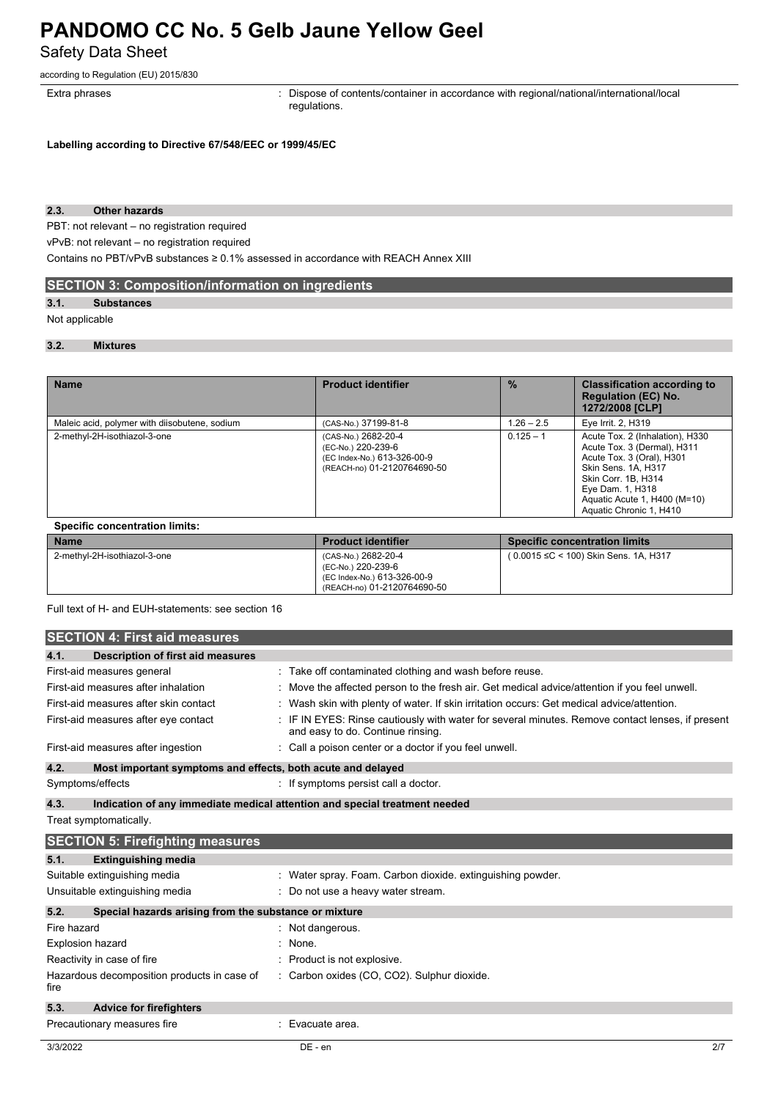Safety Data Sheet

according to Regulation (EU) 2015/830

Extra phrases **in the pharaely contents**: Dispose of contents/container in accordance with regional/national/international/local regulations.

**Labelling according to Directive 67/548/EEC or 1999/45/EC**

#### **2.3. Other hazards**

PBT: not relevant – no registration required

vPvB: not relevant – no registration required

Contains no PBT/vPvB substances ≥ 0.1% assessed in accordance with REACH Annex XIII

### **SECTION 3: Composition/information on ingredients**

#### **3.1. Substances**

#### Not applicable

#### **3.2. Mixtures**

| Maleic acid, polymer with diisobutene, sodium | (CAS-No.) 37199-81-8                                                                                    |              |                                                                                                                                                                                                                          |
|-----------------------------------------------|---------------------------------------------------------------------------------------------------------|--------------|--------------------------------------------------------------------------------------------------------------------------------------------------------------------------------------------------------------------------|
|                                               |                                                                                                         | $1.26 - 2.5$ | Eye Irrit. 2, H319                                                                                                                                                                                                       |
| 2-methyl-2H-isothiazol-3-one                  | (CAS-No.) 2682-20-4<br>(EC-No.) 220-239-6<br>(EC Index-No.) 613-326-00-9<br>(REACH-no) 01-2120764690-50 | $0.125 - 1$  | Acute Tox. 2 (Inhalation), H330<br>Acute Tox. 3 (Dermal), H311<br>Acute Tox. 3 (Oral), H301<br>Skin Sens. 1A, H317<br>Skin Corr. 1B, H314<br>Eye Dam. 1, H318<br>Aguatic Acute 1, H400 (M=10)<br>Aquatic Chronic 1, H410 |

| Specinc concentration minits. |                                                                                                         |                                       |
|-------------------------------|---------------------------------------------------------------------------------------------------------|---------------------------------------|
| <b>Name</b>                   | <b>Product identifier</b>                                                                               | <b>Specific concentration limits</b>  |
| 2-methyl-2H-isothiazol-3-one  | (CAS-No.) 2682-20-4<br>(EC-No.) 220-239-6<br>(EC Index-No.) 613-326-00-9<br>(REACH-no) 01-2120764690-50 | (0.0015 ≤C < 100) Skin Sens. 1A, H317 |

Full text of H- and EUH-statements: see section 16

|                                                                                    | <b>SECTION 4: First aid measures</b>                  |  |                                                                                                                                     |
|------------------------------------------------------------------------------------|-------------------------------------------------------|--|-------------------------------------------------------------------------------------------------------------------------------------|
| 4.1.                                                                               | <b>Description of first aid measures</b>              |  |                                                                                                                                     |
|                                                                                    | First-aid measures general                            |  | Take off contaminated clothing and wash before reuse.                                                                               |
|                                                                                    | First-aid measures after inhalation                   |  | Move the affected person to the fresh air. Get medical advice/attention if you feel unwell.                                         |
|                                                                                    | First-aid measures after skin contact                 |  | Wash skin with plenty of water. If skin irritation occurs: Get medical advice/attention.                                            |
|                                                                                    | First-aid measures after eye contact                  |  | IF IN EYES: Rinse cautiously with water for several minutes. Remove contact lenses, if present<br>and easy to do. Continue rinsing. |
| First-aid measures after ingestion                                                 |                                                       |  | Call a poison center or a doctor if you feel unwell.                                                                                |
| 4.2.<br>Most important symptoms and effects, both acute and delayed                |                                                       |  |                                                                                                                                     |
| Symptoms/effects                                                                   |                                                       |  | : If symptoms persist call a doctor.                                                                                                |
| 4.3.<br>Indication of any immediate medical attention and special treatment needed |                                                       |  |                                                                                                                                     |
| Treat symptomatically.                                                             |                                                       |  |                                                                                                                                     |
|                                                                                    | <b>SECTION 5: Firefighting measures</b>               |  |                                                                                                                                     |
| 5.1.                                                                               | <b>Extinguishing media</b>                            |  |                                                                                                                                     |
|                                                                                    | Suitable extinguishing media                          |  | Water spray. Foam. Carbon dioxide. extinguishing powder.                                                                            |
|                                                                                    | Unsuitable extinguishing media                        |  | Do not use a heavy water stream.                                                                                                    |
| 5.2.                                                                               | Special hazards arising from the substance or mixture |  |                                                                                                                                     |
| Fire hazard                                                                        |                                                       |  | Not dangerous.                                                                                                                      |
| <b>Explosion hazard</b>                                                            |                                                       |  | None.                                                                                                                               |
| Reactivity in case of fire                                                         |                                                       |  | Product is not explosive.                                                                                                           |
| fire                                                                               | Hazardous decomposition products in case of           |  | : Carbon oxides (CO, CO2). Sulphur dioxide.                                                                                         |
| 5.3.                                                                               | <b>Advice for firefighters</b>                        |  |                                                                                                                                     |
|                                                                                    | Precautionary measures fire                           |  | Evacuate area.                                                                                                                      |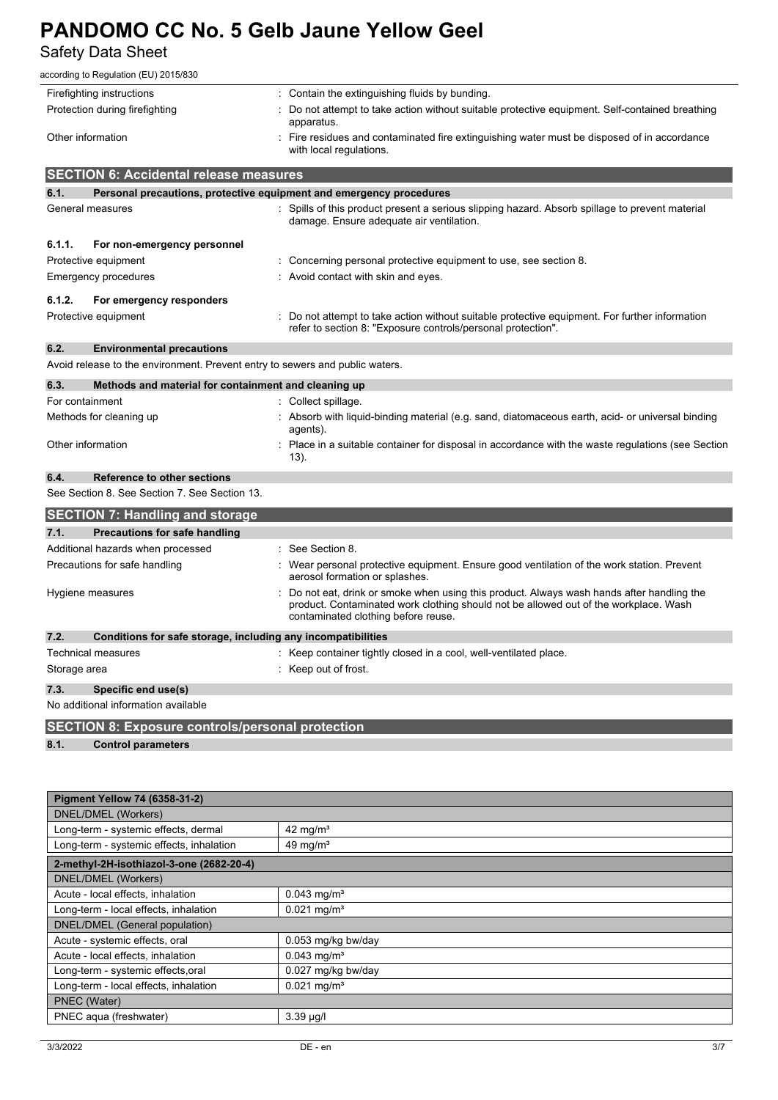Safety Data Sheet

| according to Regulation (EU) 2015/830                                                                                                          |                                                                                                                                                                                                                         |  |  |  |
|------------------------------------------------------------------------------------------------------------------------------------------------|-------------------------------------------------------------------------------------------------------------------------------------------------------------------------------------------------------------------------|--|--|--|
| Firefighting instructions                                                                                                                      | : Contain the extinguishing fluids by bunding.                                                                                                                                                                          |  |  |  |
| Protection during firefighting                                                                                                                 | Do not attempt to take action without suitable protective equipment. Self-contained breathing<br>apparatus.                                                                                                             |  |  |  |
| Other information                                                                                                                              | Fire residues and contaminated fire extinguishing water must be disposed of in accordance<br>with local regulations.                                                                                                    |  |  |  |
| <b>SECTION 6: Accidental release measures</b>                                                                                                  |                                                                                                                                                                                                                         |  |  |  |
| 6.1.                                                                                                                                           | Personal precautions, protective equipment and emergency procedures                                                                                                                                                     |  |  |  |
| General measures                                                                                                                               | : Spills of this product present a serious slipping hazard. Absorb spillage to prevent material<br>damage. Ensure adequate air ventilation.                                                                             |  |  |  |
| 6.1.1.<br>For non-emergency personnel                                                                                                          |                                                                                                                                                                                                                         |  |  |  |
| Protective equipment                                                                                                                           | : Concerning personal protective equipment to use, see section 8.                                                                                                                                                       |  |  |  |
| <b>Emergency procedures</b>                                                                                                                    | : Avoid contact with skin and eyes.                                                                                                                                                                                     |  |  |  |
| 6.1.2.<br>For emergency responders                                                                                                             |                                                                                                                                                                                                                         |  |  |  |
| Protective equipment                                                                                                                           | : Do not attempt to take action without suitable protective equipment. For further information<br>refer to section 8: "Exposure controls/personal protection".                                                          |  |  |  |
| 6.2.<br><b>Environmental precautions</b>                                                                                                       |                                                                                                                                                                                                                         |  |  |  |
|                                                                                                                                                | Avoid release to the environment. Prevent entry to sewers and public waters.                                                                                                                                            |  |  |  |
| 6.3.<br>Methods and material for containment and cleaning up                                                                                   |                                                                                                                                                                                                                         |  |  |  |
| For containment                                                                                                                                | : Collect spillage.                                                                                                                                                                                                     |  |  |  |
| Methods for cleaning up                                                                                                                        | Absorb with liquid-binding material (e.g. sand, diatomaceous earth, acid- or universal binding<br>agents).                                                                                                              |  |  |  |
| Other information                                                                                                                              | : Place in a suitable container for disposal in accordance with the waste regulations (see Section<br>$13)$ .                                                                                                           |  |  |  |
| 6.4.<br><b>Reference to other sections</b>                                                                                                     |                                                                                                                                                                                                                         |  |  |  |
| See Section 8, See Section 7, See Section 13.                                                                                                  |                                                                                                                                                                                                                         |  |  |  |
| <b>SECTION 7: Handling and storage</b>                                                                                                         |                                                                                                                                                                                                                         |  |  |  |
| 7.1.<br>Precautions for safe handling                                                                                                          |                                                                                                                                                                                                                         |  |  |  |
| Additional hazards when processed                                                                                                              | See Section 8.                                                                                                                                                                                                          |  |  |  |
| Precautions for safe handling                                                                                                                  | : Wear personal protective equipment. Ensure good ventilation of the work station. Prevent<br>aerosol formation or splashes.                                                                                            |  |  |  |
| Hygiene measures                                                                                                                               | Do not eat, drink or smoke when using this product. Always wash hands after handling the<br>product. Contaminated work clothing should not be allowed out of the workplace. Wash<br>contaminated clothing before reuse. |  |  |  |
| 7.2.                                                                                                                                           | Conditions for safe storage, including any incompatibilities                                                                                                                                                            |  |  |  |
| <b>Technical measures</b>                                                                                                                      | : Keep container tightly closed in a cool, well-ventilated place.                                                                                                                                                       |  |  |  |
| Storage area                                                                                                                                   | : Keep out of frost.                                                                                                                                                                                                    |  |  |  |
| 7.3.<br>Specific end use(s)                                                                                                                    |                                                                                                                                                                                                                         |  |  |  |
| No additional information available                                                                                                            |                                                                                                                                                                                                                         |  |  |  |
| $\mathbf{A}$ $\mathbf{A}$ $\mathbf{B}$ $\mathbf{A}$ $\mathbf{B}$ $\mathbf{B}$ $\mathbf{B}$ $\mathbf{B}$ $\mathbf{B}$ $\mathbf{B}$ $\mathbf{B}$ |                                                                                                                                                                                                                         |  |  |  |

**SECTION 8: Exposure controls/personal protection 8.1. Control parameters**

| <b>Pigment Yellow 74 (6358-31-2)</b>     |                           |  |
|------------------------------------------|---------------------------|--|
| DNEL/DMEL (Workers)                      |                           |  |
| Long-term - systemic effects, dermal     | $42 \text{ mg/m}^3$       |  |
| Long-term - systemic effects, inhalation | 49 mg/ $m3$               |  |
| 2-methyl-2H-isothiazol-3-one (2682-20-4) |                           |  |
| DNEL/DMEL (Workers)                      |                           |  |
| Acute - local effects, inhalation        | $0.043$ mg/m <sup>3</sup> |  |
| Long-term - local effects, inhalation    | $0.021$ mg/m <sup>3</sup> |  |
| DNEL/DMEL (General population)           |                           |  |
| Acute - systemic effects, oral           | 0.053 mg/kg bw/day        |  |
| Acute - local effects, inhalation        | $0.043$ mg/m <sup>3</sup> |  |
| Long-term - systemic effects.oral        | 0.027 mg/kg bw/day        |  |
| Long-term - local effects, inhalation    | $0.021$ mg/m <sup>3</sup> |  |
| PNEC (Water)                             |                           |  |
| PNEC aqua (freshwater)                   | $3.39 \mu g/l$            |  |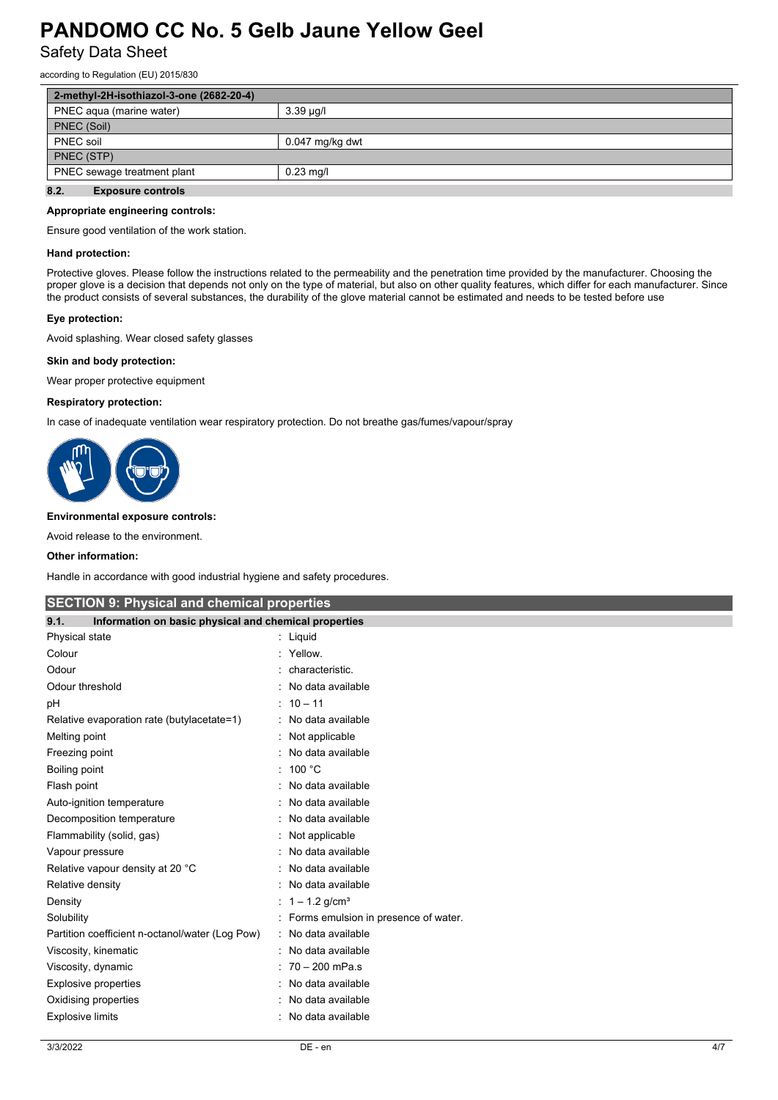Safety Data Sheet

according to Regulation (EU) 2015/830

| 2-methyl-2H-isothiazol-3-one (2682-20-4)   |                   |  |
|--------------------------------------------|-------------------|--|
| PNEC agua (marine water)                   | $3.39 \mu q/l$    |  |
| PNEC (Soil)                                |                   |  |
| PNEC soil                                  | $0.047$ mg/kg dwt |  |
| PNEC (STP)                                 |                   |  |
| PNEC sewage treatment plant<br>$0.23$ mg/l |                   |  |
| 8.2.<br><b>Exposure controls</b>           |                   |  |

#### **Appropriate engineering controls:**

Ensure good ventilation of the work station.

#### **Hand protection:**

Protective gloves. Please follow the instructions related to the permeability and the penetration time provided by the manufacturer. Choosing the proper glove is a decision that depends not only on the type of material, but also on other quality features, which differ for each manufacturer. Since the product consists of several substances, the durability of the glove material cannot be estimated and needs to be tested before use

#### **Eye protection:**

Avoid splashing. Wear closed safety glasses

#### **Skin and body protection:**

Wear proper protective equipment

#### **Respiratory protection:**

In case of inadequate ventilation wear respiratory protection. Do not breathe gas/fumes/vapour/spray



#### **Environmental exposure controls:**

Avoid release to the environment.

#### **Other information:**

Handle in accordance with good industrial hygiene and safety procedures.

| <b>SECTION 9: Physical and chemical properties</b>            |                                      |  |  |
|---------------------------------------------------------------|--------------------------------------|--|--|
| Information on basic physical and chemical properties<br>9.1. |                                      |  |  |
| Physical state                                                | Liquid                               |  |  |
| Colour                                                        | Yellow.                              |  |  |
| Odour                                                         | characteristic.                      |  |  |
| Odour threshold                                               | No data available                    |  |  |
| рH                                                            | $: 10 - 11$                          |  |  |
| Relative evaporation rate (butylacetate=1)                    | No data available                    |  |  |
| Melting point                                                 | Not applicable                       |  |  |
| Freezing point                                                | No data available                    |  |  |
| Boiling point                                                 | 100 °C                               |  |  |
| Flash point                                                   | No data available                    |  |  |
| Auto-ignition temperature                                     | No data available                    |  |  |
| Decomposition temperature                                     | No data available                    |  |  |
| Flammability (solid, gas)                                     | Not applicable                       |  |  |
| Vapour pressure                                               | No data available                    |  |  |
| Relative vapour density at 20 °C                              | No data available                    |  |  |
| Relative density                                              | No data available                    |  |  |
| Density                                                       | $1 - 1.2$ g/cm <sup>3</sup>          |  |  |
| Solubility                                                    | Forms emulsion in presence of water. |  |  |
| Partition coefficient n-octanol/water (Log Pow)               | No data available                    |  |  |
| Viscosity, kinematic                                          | No data available                    |  |  |
| Viscosity, dynamic                                            | 70 - 200 mPa.s                       |  |  |
| <b>Explosive properties</b>                                   | No data available                    |  |  |
| Oxidising properties                                          | No data available                    |  |  |
| <b>Explosive limits</b>                                       | No data available                    |  |  |
|                                                               |                                      |  |  |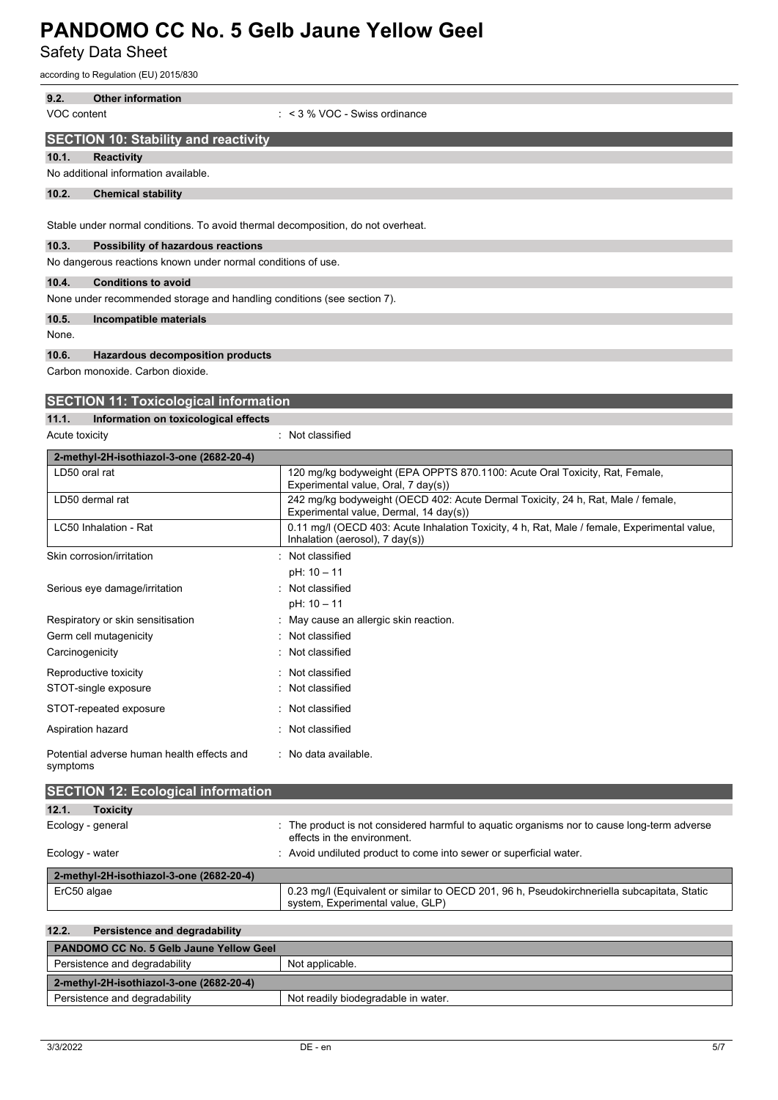Safety Data Sheet

according to Regulation (EU) 2015/830

Carbon monoxide. Carbon dioxide.

| <b>SECTION 11: Toxicological information</b> |                                      |                |
|----------------------------------------------|--------------------------------------|----------------|
| 11.1.                                        | Information on toxicological effects |                |
| Acute toxicity                               |                                      | Not classified |

| 2-methyl-2H-isothiazol-3-one (2682-20-4)               |                                                                                                                                            |  |
|--------------------------------------------------------|--------------------------------------------------------------------------------------------------------------------------------------------|--|
| LD50 oral rat                                          | 120 mg/kg bodyweight (EPA OPPTS 870.1100: Acute Oral Toxicity, Rat, Female,<br>Experimental value, Oral, 7 day(s))                         |  |
| LD50 dermal rat                                        | 242 mg/kg bodyweight (OECD 402: Acute Dermal Toxicity, 24 h, Rat, Male / female,<br>Experimental value, Dermal, 14 day(s))                 |  |
| LC50 Inhalation - Rat                                  | 0.11 mg/l (OECD 403: Acute Inhalation Toxicity, 4 h, Rat, Male / female, Experimental value,<br>Inhalation (aerosol), $7 \text{ day}(s)$ ) |  |
| Skin corrosion/irritation                              | : Not classified                                                                                                                           |  |
|                                                        | pH: 10 - 11                                                                                                                                |  |
| Serious eye damage/irritation                          | : Not classified                                                                                                                           |  |
|                                                        | $pH: 10 - 11$                                                                                                                              |  |
| Respiratory or skin sensitisation                      | : May cause an allergic skin reaction.                                                                                                     |  |
| Germ cell mutagenicity                                 | : Not classified                                                                                                                           |  |
| Carcinogenicity                                        | : Not classified                                                                                                                           |  |
| Reproductive toxicity                                  | : Not classified                                                                                                                           |  |
| STOT-single exposure                                   | : Not classified                                                                                                                           |  |
| STOT-repeated exposure                                 | : Not classified                                                                                                                           |  |
| Aspiration hazard                                      | : Not classified                                                                                                                           |  |
| Potential adverse human health effects and<br>symptoms | : No data available.                                                                                                                       |  |

| <b>SECTION 12: Ecological information</b> |                                                                                                                                 |  |
|-------------------------------------------|---------------------------------------------------------------------------------------------------------------------------------|--|
| 12.1.<br><b>Toxicity</b>                  |                                                                                                                                 |  |
| Ecology - general                         | : The product is not considered harmful to aquatic organisms nor to cause long-term adverse<br>effects in the environment.      |  |
| Ecology - water                           | : Avoid undiluted product to come into sewer or superficial water.                                                              |  |
| 2-methyl-2H-isothiazol-3-one (2682-20-4)  |                                                                                                                                 |  |
| ErC50 algae                               | 0.23 mg/l (Equivalent or similar to OECD 201, 96 h, Pseudokirchneriella subcapitata, Static<br>system, Experimental value, GLP) |  |

| 12.2.<br>Persistence and degradability         |                                     |  |
|------------------------------------------------|-------------------------------------|--|
| <b>PANDOMO CC No. 5 Gelb Jaune Yellow Geel</b> |                                     |  |
| Persistence and degradability                  | Not applicable.                     |  |
| 2-methyl-2H-isothiazol-3-one (2682-20-4)       |                                     |  |
| Persistence and degradability                  | Not readily biodegradable in water. |  |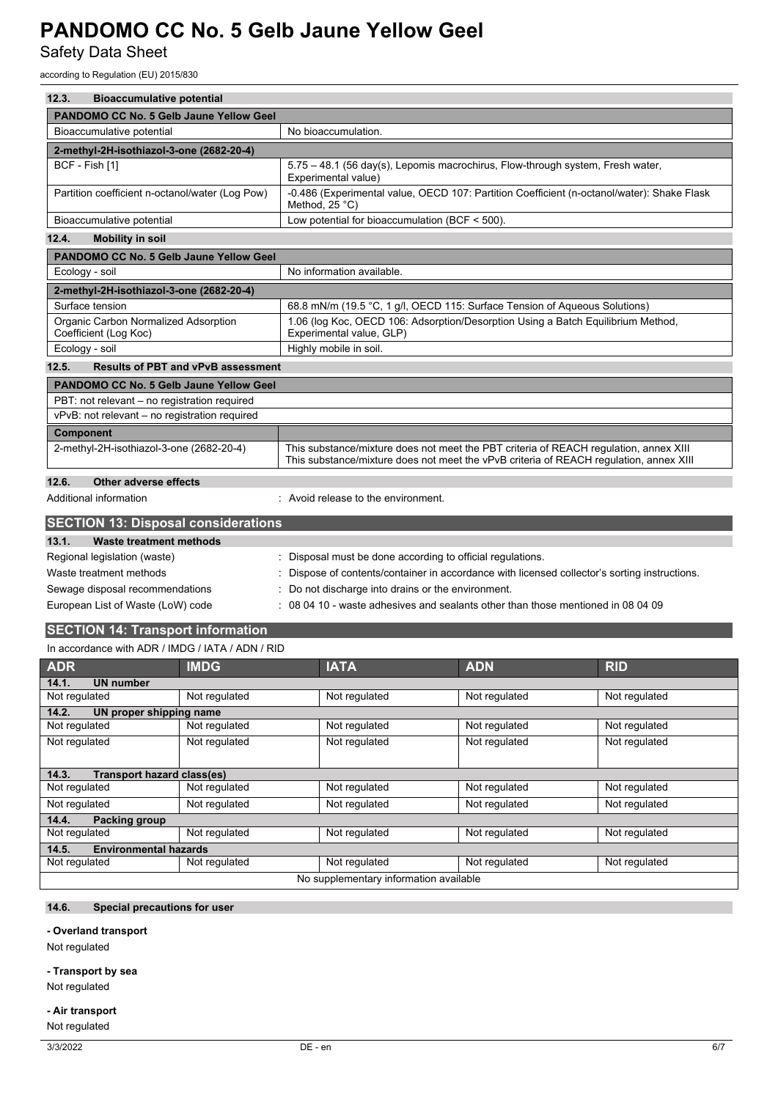Safety Data Sheet

according to Regulation (EU) 2015/830

| 12.3.<br><b>Bioaccumulative potential</b>                                                                              |                                                          |                                                                                                                                                                                 |  |  |
|------------------------------------------------------------------------------------------------------------------------|----------------------------------------------------------|---------------------------------------------------------------------------------------------------------------------------------------------------------------------------------|--|--|
| PANDOMO CC No. 5 Gelb Jaune Yellow Geel                                                                                |                                                          |                                                                                                                                                                                 |  |  |
| Bioaccumulative potential                                                                                              | No bioaccumulation.                                      |                                                                                                                                                                                 |  |  |
| 2-methyl-2H-isothiazol-3-one (2682-20-4)                                                                               |                                                          |                                                                                                                                                                                 |  |  |
| BCF - Fish [1]                                                                                                         | Experimental value)                                      | 5.75 - 48.1 (56 day(s), Lepomis macrochirus, Flow-through system, Fresh water,                                                                                                  |  |  |
| Partition coefficient n-octanol/water (Log Pow)                                                                        | Method, 25 °C)                                           | -0.486 (Experimental value, OECD 107: Partition Coefficient (n-octanol/water): Shake Flask                                                                                      |  |  |
| Bioaccumulative potential                                                                                              | Low potential for bioaccumulation (BCF < 500).           |                                                                                                                                                                                 |  |  |
| 12.4.<br><b>Mobility in soil</b>                                                                                       |                                                          |                                                                                                                                                                                 |  |  |
| <b>PANDOMO CC No. 5 Gelb Jaune Yellow Geel</b>                                                                         |                                                          |                                                                                                                                                                                 |  |  |
| Ecology - soil                                                                                                         | No information available.                                |                                                                                                                                                                                 |  |  |
| 2-methyl-2H-isothiazol-3-one (2682-20-4)                                                                               |                                                          |                                                                                                                                                                                 |  |  |
| Surface tension                                                                                                        |                                                          | 68.8 mN/m (19.5 °C, 1 g/l, OECD 115: Surface Tension of Aqueous Solutions)                                                                                                      |  |  |
| Organic Carbon Normalized Adsorption<br>Coefficient (Log Koc)                                                          | Experimental value, GLP)                                 | 1.06 (log Koc, OECD 106: Adsorption/Desorption Using a Batch Equilibrium Method,                                                                                                |  |  |
| Ecology - soil                                                                                                         | Highly mobile in soil.                                   |                                                                                                                                                                                 |  |  |
| 12.5.<br><b>Results of PBT and vPvB assessment</b>                                                                     |                                                          |                                                                                                                                                                                 |  |  |
| <b>PANDOMO CC No. 5 Gelb Jaune Yellow Geel</b>                                                                         |                                                          |                                                                                                                                                                                 |  |  |
| PBT: not relevant - no registration required                                                                           |                                                          |                                                                                                                                                                                 |  |  |
| vPvB: not relevant - no registration required                                                                          |                                                          |                                                                                                                                                                                 |  |  |
| <b>Component</b>                                                                                                       |                                                          |                                                                                                                                                                                 |  |  |
| 2-methyl-2H-isothiazol-3-one (2682-20-4)                                                                               |                                                          | This substance/mixture does not meet the PBT criteria of REACH regulation, annex XIII<br>This substance/mixture does not meet the vPvB criteria of REACH regulation, annex XIII |  |  |
| 12.6.<br>Other adverse effects                                                                                         |                                                          |                                                                                                                                                                                 |  |  |
| Additional information<br>: Avoid release to the environment.                                                          |                                                          |                                                                                                                                                                                 |  |  |
| <b>SECTION 13: Disposal considerations</b>                                                                             |                                                          |                                                                                                                                                                                 |  |  |
| 13.1.<br><b>Waste treatment methods</b>                                                                                |                                                          |                                                                                                                                                                                 |  |  |
| Regional legislation (waste)                                                                                           | Disposal must be done according to official regulations. |                                                                                                                                                                                 |  |  |
| Waste treatment methods<br>Dispose of contents/container in accordance with licensed collector's sorting instructions. |                                                          |                                                                                                                                                                                 |  |  |
| Sewage disposal recommendations                                                                                        | Do not discharge into drains or the environment.         |                                                                                                                                                                                 |  |  |
| European List of Waste (LoW) code                                                                                      |                                                          | 08 04 10 - waste adhesives and sealants other than those mentioned in 08 04 09                                                                                                  |  |  |
| <b>SECTION 14: Transport information</b>                                                                               |                                                          |                                                                                                                                                                                 |  |  |
| In accordance with ADR / IMDG / IATA / ADN / RID                                                                       |                                                          |                                                                                                                                                                                 |  |  |
| ADR<br><b>IMDG</b>                                                                                                     | <b>IATA</b>                                              | <b>RID</b><br><b>ADN</b>                                                                                                                                                        |  |  |

| <b>ADR</b>                             | <b>IMDG</b>   | <b>IATA</b>   | <b>ADN</b>    | <b>RID</b>    |
|----------------------------------------|---------------|---------------|---------------|---------------|
| <b>UN number</b><br>14.1.              |               |               |               |               |
| Not regulated                          | Not regulated | Not regulated | Not regulated | Not regulated |
| 14.2.<br>UN proper shipping name       |               |               |               |               |
| Not regulated                          | Not regulated | Not regulated | Not regulated | Not regulated |
| Not regulated                          | Not regulated | Not regulated | Not regulated | Not regulated |
|                                        |               |               |               |               |
| Transport hazard class(es)<br>14.3.    |               |               |               |               |
| Not regulated                          | Not regulated | Not regulated | Not regulated | Not regulated |
| Not regulated                          | Not regulated | Not regulated | Not regulated | Not regulated |
| 14.4.<br><b>Packing group</b>          |               |               |               |               |
| Not regulated                          | Not regulated | Not regulated | Not regulated | Not regulated |
| 14.5.<br><b>Environmental hazards</b>  |               |               |               |               |
| Not regulated                          | Not regulated | Not regulated | Not regulated | Not regulated |
| No supplementary information available |               |               |               |               |

## **14.6. Special precautions for user**

### **- Overland transport**

Not regulated

### **- Transport by sea**

Not regulated

## **- Air transport**